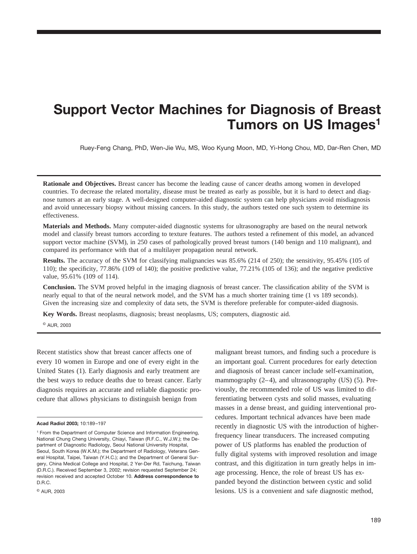# **Support Vector Machines for Diagnosis of Breast Tumors on US Images1**

Ruey-Feng Chang, PhD, Wen-Jie Wu, MS, Woo Kyung Moon, MD, Yi-Hong Chou, MD, Dar-Ren Chen, MD

**Rationale and Objectives.** Breast cancer has become the leading cause of cancer deaths among women in developed countries. To decrease the related mortality, disease must be treated as early as possible, but it is hard to detect and diagnose tumors at an early stage. A well-designed computer-aided diagnostic system can help physicians avoid misdiagnosis and avoid unnecessary biopsy without missing cancers. In this study, the authors tested one such system to determine its effectiveness.

**Materials and Methods.** Many computer-aided diagnostic systems for ultrasonography are based on the neural network model and classify breast tumors according to texture features. The authors tested a refinement of this model, an advanced support vector machine (SVM), in 250 cases of pathologically proved breast tumors (140 benign and 110 malignant), and compared its performance with that of a multilayer propagation neural network.

**Results.** The accuracy of the SVM for classifying malignancies was 85.6% (214 of 250); the sensitivity, 95.45% (105 of 110); the specificity, 77.86% (109 of 140); the positive predictive value, 77.21% (105 of 136); and the negative predictive value, 95.61% (109 of 114).

**Conclusion.** The SVM proved helpful in the imaging diagnosis of breast cancer. The classification ability of the SVM is nearly equal to that of the neural network model, and the SVM has a much shorter training time (1 vs 189 seconds). Given the increasing size and complexity of data sets, the SVM is therefore preferable for computer-aided diagnosis.

**Key Words.** Breast neoplasms, diagnosis; breast neoplasms, US; computers, diagnostic aid.

© AUR, 2003

Recent statistics show that breast cancer affects one of every 10 women in Europe and one of every eight in the United States (1). Early diagnosis and early treatment are the best ways to reduce deaths due to breast cancer. Early diagnosis requires an accurate and reliable diagnostic procedure that allows physicians to distinguish benign from

malignant breast tumors, and finding such a procedure is an important goal. Current procedures for early detection and diagnosis of breast cancer include self-examination, mammography (2–4), and ultrasonography (US) (5). Previously, the recommended role of US was limited to differentiating between cysts and solid masses, evaluating masses in a dense breast, and guiding interventional procedures. Important technical advances have been made recently in diagnostic US with the introduction of higherfrequency linear transducers. The increased computing power of US platforms has enabled the production of fully digital systems with improved resolution and image contrast, and this digitization in turn greatly helps in image processing. Hence, the role of breast US has expanded beyond the distinction between cystic and solid lesions. US is a convenient and safe diagnostic method,

**Acad Radiol 2003;** 10:189–197

<sup>1</sup> From the Department of Computer Science and Information Engineering, National Chung Cheng University, Chiayi, Taiwan (R.F.C., W.J.W.); the Department of Diagnostic Radiology, Seoul National University Hospital, Seoul, South Korea (W.K.M.); the Department of Radiology, Veterans General Hospital, Taipei, Taiwan (Y.H.C.); and the Department of General Surgery, China Medical College and Hospital, 2 Yer-Der Rd, Taichung, Taiwan (D.R.C.). Received September 3, 2002; revision requested September 24; revision received and accepted October 10. **Address correspondence to** D.R.C.

<sup>©</sup> AUR, 2003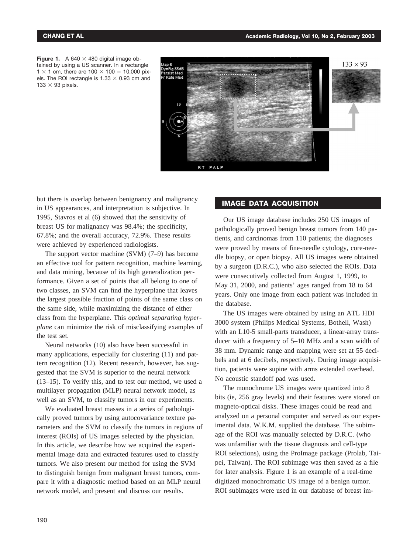



but there is overlap between benignancy and malignancy in US appearances, and interpretation is subjective. In 1995, Stavros et al (6) showed that the sensitivity of breast US for malignancy was 98.4%; the specificity, 67.8%; and the overall accuracy, 72.9%. These results were achieved by experienced radiologists.

The support vector machine (SVM) (7–9) has become an effective tool for pattern recognition, machine learning, and data mining, because of its high generalization performance. Given a set of points that all belong to one of two classes, an SVM can find the hyperplane that leaves the largest possible fraction of points of the same class on the same side, while maximizing the distance of either class from the hyperplane. This *optimal separating hyperplane* can minimize the risk of misclassifying examples of the test set.

Neural networks (10) also have been successful in many applications, especially for clustering (11) and pattern recognition (12). Recent research, however, has suggested that the SVM is superior to the neural network (13–15). To verify this, and to test our method, we used a multilayer propagation (MLP) neural network model, as well as an SVM, to classify tumors in our experiments.

We evaluated breast masses in a series of pathologically proved tumors by using autocovariance texture parameters and the SVM to classify the tumors in regions of interest (ROIs) of US images selected by the physician. In this article, we describe how we acquired the experimental image data and extracted features used to classify tumors. We also present our method for using the SVM to distinguish benign from malignant breast tumors, compare it with a diagnostic method based on an MLP neural network model, and present and discuss our results.

# **IMAGE DATA ACQUISITION**

Our US image database includes 250 US images of pathologically proved benign breast tumors from 140 patients, and carcinomas from 110 patients; the diagnoses were proved by means of fine-needle cytology, core-needle biopsy, or open biopsy. All US images were obtained by a surgeon (D.R.C.), who also selected the ROIs. Data were consecutively collected from August 1, 1999, to May 31, 2000, and patients' ages ranged from 18 to 64 years. Only one image from each patient was included in the database.

The US images were obtained by using an ATL HDI 3000 system (Philips Medical Systems, Bothell, Wash) with an L10-5 small-parts transducer, a linear-array transducer with a frequency of 5–10 MHz and a scan width of 38 mm. Dynamic range and mapping were set at 55 decibels and at 6 decibels, respectively. During image acquisition, patients were supine with arms extended overhead. No acoustic standoff pad was used.

The monochrome US images were quantized into 8 bits (ie, 256 gray levels) and their features were stored on magneto-optical disks. These images could be read and analyzed on a personal computer and served as our experimental data. W.K.M. supplied the database. The subimage of the ROI was manually selected by D.R.C. (who was unfamiliar with the tissue diagnosis and cell-type ROI selections), using the ProImage package (Prolab, Taipei, Taiwan). The ROI subimage was then saved as a file for later analysis. Figure 1 is an example of a real-time digitized monochromatic US image of a benign tumor. ROI subimages were used in our database of breast im-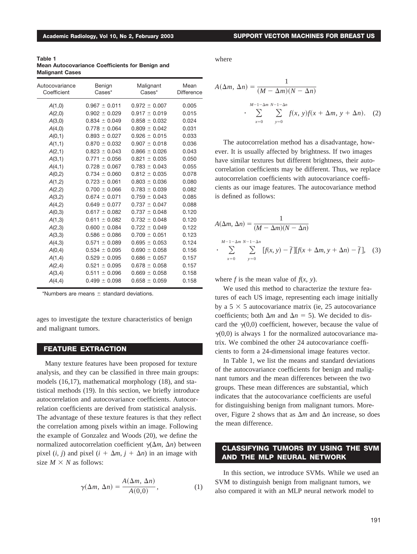**Table 1 Mean Autocovariance Coefficients for Benign and Malignant Cases**

| Autocovariance<br>Coefficient | Benign<br>$\text{Cases}^*$ | Malignant<br>Cases* | Mean<br>Difference |
|-------------------------------|----------------------------|---------------------|--------------------|
| A(1,0)                        | $0.967 \pm 0.011$          | $0.972 \pm 0.007$   | 0.005              |
| A(2,0)                        | $0.902 \pm 0.029$          | $0.917 \pm 0.019$   | 0.015              |
| A(3,0)                        | $0.834 \pm 0.049$          | $0.858 \pm 0.032$   | 0.024              |
| A(4,0)                        | $0.778 \pm 0.064$          | $0.809 \pm 0.042$   | 0.031              |
| A(0,1)                        | $0.893 \pm 0.027$          | $0.926 \pm 0.015$   | 0.033              |
| A(1,1)                        | $0.870 \pm 0.032$          | $0.907 \pm 0.018$   | 0.036              |
| A(2,1)                        | $0.823 \pm 0.043$          | $0.866 \pm 0.026$   | 0.043              |
| A(3,1)                        | $0.771 \pm 0.056$          | $0.821 \pm 0.035$   | 0.050              |
| A(4,1)                        | $0.728 \pm 0.067$          | $0.783 \pm 0.043$   | 0.055              |
| A(0,2)                        | $0.734 \pm 0.060$          | $0.812 \pm 0.035$   | 0.078              |
| A(1,2)                        | $0.723 \pm 0.061$          | $0.803 \pm 0.036$   | 0.080              |
| A(2,2)                        | $0.700 \pm 0.066$          | $0.783 \pm 0.039$   | 0.082              |
| A(3,2)                        | $0.674 \pm 0.071$          | $0.759 \pm 0.043$   | 0.085              |
| A(4,2)                        | $0.649 \pm 0.077$          | $0.737 \pm 0.047$   | 0.088              |
| A(0,3)                        | $0.617 \pm 0.082$          | $0.737 \pm 0.048$   | 0.120              |
| A(1,3)                        | $0.611 \pm 0.082$          | $0.732 \pm 0.048$   | 0.120              |
| A(2,3)                        | $0.600 \pm 0.084$          | $0.722 \pm 0.049$   | 0.122              |
| A(3,3)                        | $0.586 \pm 0.086$          | $0.709 \pm 0.051$   | 0.123              |
| A(4,3)                        | $0.571 \pm 0.089$          | $0.695 \pm 0.053$   | 0.124              |
| A(0,4)                        | $0.534 \pm 0.095$          | $0.690 \pm 0.058$   | 0.156              |
| A(1,4)                        | $0.529 \pm 0.095$          | $0.686 \pm 0.057$   | 0.157              |
| A(2,4)                        | $0.521 \pm 0.095$          | $0.678 \pm 0.058$   | 0.157              |
| A(3,4)                        | $0.511 \pm 0.096$          | $0.669 \pm 0.058$   | 0.158              |
| A(4,4)                        | $0.499 \pm 0.098$          | $0.658 \pm 0.059$   | 0.158              |
|                               |                            |                     |                    |

\*Numbers are means  $\pm$  standard deviations.

ages to investigate the texture characteristics of benign and malignant tumors.

### **FEATURE EXTRACTION**

Many texture features have been proposed for texture analysis, and they can be classified in three main groups: models (16,17), mathematical morphology (18), and statistical methods (19). In this section, we briefly introduce autocorrelation and autocovariance coefficients. Autocorrelation coefficients are derived from statistical analysis. The advantage of these texture features is that they reflect the correlation among pixels within an image. Following the example of Gonzalez and Woods (20), we define the normalized autocorrelation coefficient  $\gamma(\Delta m, \Delta n)$  between pixel  $(i, j)$  and pixel  $(i + \Delta m, j + \Delta n)$  in an image with size  $M \times N$  as follows:

$$
\gamma(\Delta m, \Delta n) = \frac{A(\Delta m, \Delta n)}{A(0,0)},
$$
\n(1)

where

$$
A(\Delta m, \Delta n) = \frac{1}{(M - \Delta m)(N - \Delta n)}
$$

$$
\cdot \sum_{x=0}^{M-1-\Delta m} \sum_{y=0}^{N-1-\Delta n} f(x, y)f(x + \Delta m, y + \Delta n). \quad (2)
$$

The autocorrelation method has a disadvantage, however. It is usually affected by brightness. If two images have similar textures but different brightness, their autocorrelation coefficients may be different. Thus, we replace autocorrelation coefficients with autocovariance coefficients as our image features. The autocovariance method is defined as follows:

$$
A(\Delta m, \Delta n) = \frac{1}{(M - \Delta m)(N - \Delta n)}
$$
  
 
$$
\sum_{x=0}^{M-1-\Delta m} \sum_{y=0}^{N-1-\Delta n} [f(x, y) - \bar{f}][f(x + \Delta m, y + \Delta n) - \bar{f}], \quad (3)
$$

where  $f$  is the mean value of  $f(x, y)$ .

We used this method to characterize the texture features of each US image, representing each image initially by a  $5 \times 5$  autocovariance matrix (ie, 25 autocovariance coefficients; both  $\Delta m$  and  $\Delta n = 5$ ). We decided to discard the  $\gamma(0,0)$  coefficient, however, because the value of  $\gamma(0,0)$  is always 1 for the normalized autocovariance matrix. We combined the other 24 autocovariance coefficients to form a 24-dimensional image features vector.

In Table 1, we list the means and standard deviations of the autocovariance coefficients for benign and malignant tumors and the mean differences between the two groups. These mean differences are substantial, which indicates that the autocovariance coefficients are useful for distinguishing benign from malignant tumors. Moreover, Figure 2 shows that as  $\Delta m$  and  $\Delta n$  increase, so does the mean difference.

## **CLASSIFYING TUMORS BY USING THE SVM AND THE MLP NEURAL NETWORK**

In this section, we introduce SVMs. While we used an SVM to distinguish benign from malignant tumors, we also compared it with an MLP neural network model to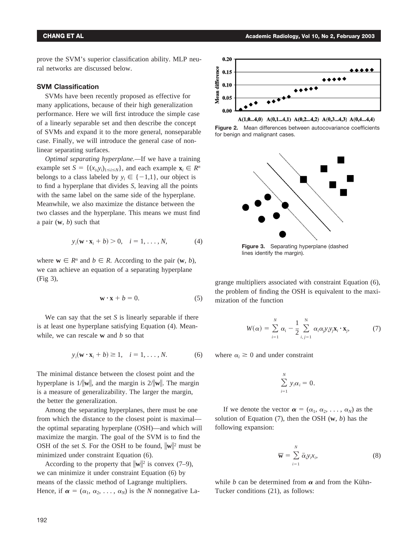prove the SVM's superior classification ability. MLP neural networks are discussed below.

## **SVM Classification**

SVMs have been recently proposed as effective for many applications, because of their high generalization performance. Here we will first introduce the simple case of a linearly separable set and then describe the concept of SVMs and expand it to the more general, nonseparable case. Finally, we will introduce the general case of nonlinear separating surfaces.

*Optimal separating hyperplane.—*If we have a training example set *S* = { $(x_i, y_i)_{1 \le i \le N}$ }, and each example  $\mathbf{x}_i \in \mathbb{R}^n$ belongs to a class labeled by  $y_i \in \{-1,1\}$ , our object is to find a hyperplane that divides *S*, leaving all the points with the same label on the same side of the hyperplane. Meanwhile, we also maximize the distance between the two classes and the hyperplane. This means we must find a pair (**w**, *b*) such that

$$
y_i(\mathbf{w} \cdot \mathbf{x}_i + b) > 0, \quad i = 1, \dots, N,
$$
 (4)

where  $\mathbf{w} \in \mathbb{R}^n$  and  $b \in \mathbb{R}$ . According to the pair  $(\mathbf{w}, b)$ , we can achieve an equation of a separating hyperplane (Fig 3),

$$
\mathbf{w} \cdot \mathbf{x} + b = 0. \tag{5}
$$

We can say that the set *S* is linearly separable if there is at least one hyperplane satisfying Equation (4). Meanwhile, we can rescale **w** and *b* so that

$$
y_i(\mathbf{w} \cdot \mathbf{x}_i + b) \ge 1, \quad i = 1, \dots, N. \tag{6}
$$

The minimal distance between the closest point and the hyperplane is  $1/||w||$ , and the margin is  $2/||w||$ . The margin is a measure of generalizability. The larger the margin, the better the generalization.

Among the separating hyperplanes, there must be one from which the distance to the closest point is maximal the optimal separating hyperplane (OSH)—and which will maximize the margin. The goal of the SVM is to find the OSH of the set *S*. For the OSH to be found,  $\|\mathbf{w}\|^2$  must be minimized under constraint Equation (6).

According to the property that  $\|\mathbf{w}\|^2$  is convex (7–9), we can minimize it under constraint Equation (6) by means of the classic method of Lagrange multipliers. Hence, if  $\alpha = (\alpha_1, \alpha_2, \ldots, \alpha_N)$  is the *N* nonnegative La-



 $A(1,0...4,0)$   $A(0,1...4,1)$   $A(0,2...4,2)$   $A(0,3...4,3)$   $A(0,4...4,4)$ 

**Figure 2.** Mean differences between autocovariance coefficients for benign and malignant cases.



**Figure 3.** Separating hyperplane (dashed lines identify the margin).

grange multipliers associated with constraint Equation (6), the problem of finding the OSH is equivalent to the maximization of the function

$$
W(\alpha) = \sum_{i=1}^{N} \alpha_i - \frac{1}{2} \sum_{i,j=1}^{N} \alpha_i \alpha_j y_i y_j \mathbf{x}_i \cdot \mathbf{x}_j, \qquad (7)
$$

where  $\alpha_i \geq 0$  and under constraint

$$
\sum_{i=1}^N y_i \alpha_i = 0.
$$

If we denote the vector  $\boldsymbol{\alpha} = (\alpha_1, \alpha_2, \ldots, \alpha_N)$  as the solution of Equation (7), then the OSH (**w**, *b*) has the following expansion:

$$
\overline{\mathbf{w}} = \sum_{i=1}^{N} \overline{\alpha}_{i} y_{i} x_{i}, \qquad (8)
$$

while *b* can be determined from  $\alpha$  and from the Kühn-Tucker conditions (21), as follows: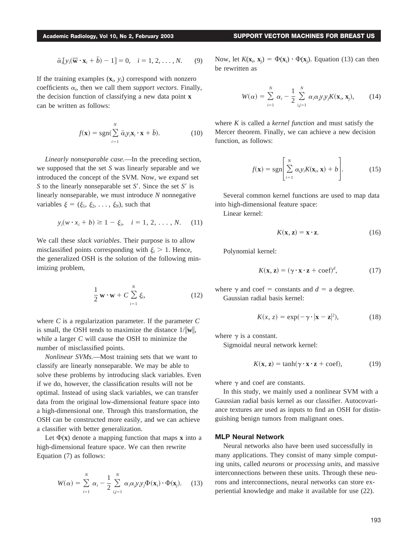$$
\bar{\alpha}_i[y_i(\overline{\mathbf{w}}\cdot\mathbf{x}_i+\overline{b})-1]=0, \quad i=1,2,\ldots,N. \qquad (9)
$$

If the training examples  $(\mathbf{x}_i, y_i)$  correspond with nonzero coefficients  $\alpha_i$ , then we call them *support vectors*. Finally, the decision function of classifying a new data point **x** can be written as follows:

$$
f(\mathbf{x}) = \text{sgn}(\sum_{i=1}^{N} \bar{\alpha}_i y_i \mathbf{x}_i \cdot \mathbf{x} + \bar{b}).
$$
 (10)

*Linearly nonseparable case.*—In the preceding section, we supposed that the set *S* was linearly separable and we introduced the concept of the SVM. Now, we expand set *S* to the linearly nonseparable set *S.* Since the set *S* is linearly nonseparable, we must introduce *N* nonnegative variables  $\xi = (\xi_1, \xi_2, \ldots, \xi_N)$ , such that

$$
y_i(w \cdot x_i + b) \ge 1 - \xi_i, \quad i = 1, 2, ..., N.
$$
 (11)

We call these *slack variables*. Their purpose is to allow misclassified points corresponding with  $\xi_i > 1$ . Hence, the generalized OSH is the solution of the following minimizing problem,

$$
\frac{1}{2}\mathbf{w}\cdot\mathbf{w}+C\sum_{i=1}^{N}\xi_{i},
$$
\n(12)

where *C* is a regularization parameter. If the parameter *C* is small, the OSH tends to maximize the distance  $1/||w||$ , while a larger *C* will cause the OSH to minimize the number of misclassified points.

*Nonlinear SVMs.*—Most training sets that we want to classify are linearly nonseparable. We may be able to solve these problems by introducing slack variables. Even if we do, however, the classification results will not be optimal. Instead of using slack variables, we can transfer data from the original low-dimensional feature space into a high-dimensional one. Through this transformation, the OSH can be constructed more easily, and we can achieve a classifier with better generalization.

Let  $\Phi(\mathbf{x})$  denote a mapping function that maps **x** into a high-dimensional feature space. We can then rewrite Equation (7) as follows:

$$
W(\alpha) = \sum_{i=1}^{N} \alpha_i - \frac{1}{2} \sum_{i,j=1}^{N} \alpha_i \alpha_j y_i y_j \Phi(\mathbf{x}_i) \cdot \Phi(\mathbf{x}_j).
$$
 (13)

Now, let  $K(\mathbf{x}_i, \mathbf{x}_j) = \Phi(\mathbf{x}_i) \cdot \Phi(\mathbf{x}_j)$ . Equation (13) can then be rewritten as

$$
W(\alpha) = \sum_{i=1}^{N} \alpha_i - \frac{1}{2} \sum_{i,j=1}^{N} \alpha_i \alpha_j y_i y_j K(\mathbf{x}_i, \mathbf{x}_j), \qquad (14)
$$

where *K* is called a *kernel function* and must satisfy the Mercer theorem. Finally, we can achieve a new decision function, as follows:

$$
f(\mathbf{x}) = \text{sgn}\left[\sum_{i=1}^{N} \alpha_i y_i K(\mathbf{x}_i, \mathbf{x}) + b\right].
$$
 (15)

Several common kernel functions are used to map data into high-dimensional feature space:

Linear kernel:

$$
K(\mathbf{x}, \mathbf{z}) = \mathbf{x} \cdot \mathbf{z}.\tag{16}
$$

Polynomial kernel:

$$
K(\mathbf{x}, \mathbf{z}) = (\gamma \cdot \mathbf{x} \cdot \mathbf{z} + \text{coef})^d, \tag{17}
$$

where  $\gamma$  and coef = constants and  $d = a$  degree. Gaussian radial basis kernel:

$$
K(x, z) = \exp(-\gamma \cdot |\mathbf{x} - \mathbf{z}|^2), \tag{18}
$$

where  $\gamma$  is a constant.

Sigmoidal neural network kernel:

$$
K(\mathbf{x}, \mathbf{z}) = \tanh(\gamma \cdot \mathbf{x} \cdot \mathbf{z} + \text{coef}),\tag{19}
$$

where  $\gamma$  and coef are constants.

In this study, we mainly used a nonlinear SVM with a Gaussian radial basis kernel as our classifier. Autocovariance textures are used as inputs to find an OSH for distinguishing benign tumors from malignant ones.

## **MLP Neural Network**

Neural networks also have been used successfully in many applications. They consist of many simple computing units, called *neurons* or *processing units*, and massive interconnections between these units. Through these neurons and interconnections, neural networks can store experiential knowledge and make it available for use (22).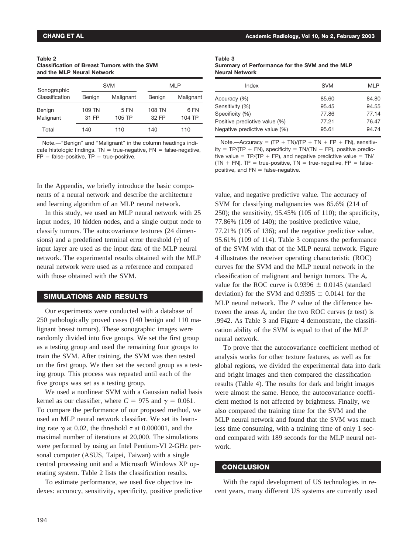| Table 2                                             |  |
|-----------------------------------------------------|--|
| <b>Classification of Breast Tumors with the SVM</b> |  |
| and the MLP Neural Network                          |  |

| Sonographic    | <b>SVM</b> |           | <b>MLP</b> |           |
|----------------|------------|-----------|------------|-----------|
| Classification | Benign     | Malignant | Benign     | Malignant |
| Benign         | 109 TN     | 5 FN      | 108 TN     | 6 FN      |
| Malignant      | 31 FP      | 105 TP    | 32 FP      | 104 TP    |
| Total          | 140        | 110       | 140        | 110       |

Note.—"Benign" and "Malignant" in the column headings indicate histologic findings.  $TN = true$ -negative,  $FN = false$ -negative,  $FP = false-positive$ ,  $TP = true-positive$ .

In the Appendix, we briefly introduce the basic components of a neural network and describe the architecture and learning algorithm of an MLP neural network.

In this study, we used an MLP neural network with 25 input nodes, 10 hidden nodes, and a single output node to classify tumors. The autocovariance textures (24 dimensions) and a predefined terminal error threshold  $(τ)$  of input layer are used as the input data of the MLP neural network. The experimental results obtained with the MLP neural network were used as a reference and compared with those obtained with the SVM.

## **SIMULATIONS AND RESULTS**

Our experiments were conducted with a database of 250 pathologically proved cases (140 benign and 110 malignant breast tumors). These sonographic images were randomly divided into five groups. We set the first group as a testing group and used the remaining four groups to train the SVM. After training, the SVM was then tested on the first group. We then set the second group as a testing group. This process was repeated until each of the five groups was set as a testing group.

We used a nonlinear SVM with a Gaussian radial basis kernel as our classifier, where  $C = 975$  and  $\gamma = 0.061$ . To compare the performance of our proposed method, we used an MLP neural network classifier. We set its learning rate  $\eta$  at 0.02, the threshold  $\tau$  at 0.000001, and the maximal number of iterations at 20,000. The simulations were performed by using an Intel Pentium-VI 2-GHz personal computer (ASUS, Taipei, Taiwan) with a single central processing unit and a Microsoft Windows XP operating system. Table 2 lists the classification results.

To estimate performance, we used five objective indexes: accuracy, sensitivity, specificity, positive predictive

| Table 3                                        |  |
|------------------------------------------------|--|
| Summary of Performance for the SVM and the MLP |  |
| <b>Neural Network</b>                          |  |

| <b>SVM</b> | <b>MLP</b> |
|------------|------------|
| 85.60      | 84.80      |
| 95.45      | 94.55      |
| 77.86      | 77.14      |
| 77.21      | 76.47      |
| 95.61      | 94.74      |
|            |            |

Note.—Accuracy =  $(TP + TN)/(TP + TN + FP + FN)$ , sensitivity =  $TP/(TP + FN)$ , specificity =  $TN/(TN + FP)$ , positive predictive value =  $TP/(TP + FP)$ , and negative predictive value =  $TN/$  $(TN + FN)$ . TP = true-positive, TN = true-negative, FP = falsepositive, and  $FN = false$ -negative.

value, and negative predictive value. The accuracy of SVM for classifying malignancies was 85.6% (214 of 250); the sensitivity, 95.45% (105 of 110); the specificity, 77.86% (109 of 140); the positive predictive value, 77.21% (105 of 136); and the negative predictive value, 95.61% (109 of 114). Table 3 compares the performance of the SVM with that of the MLP neural network. Figure 4 illustrates the receiver operating characteristic (ROC) curves for the SVM and the MLP neural network in the classification of malignant and benign tumors. The *Az* value for the ROC curve is  $0.9396 \pm 0.0145$  (standard deviation) for the SVM and  $0.9395 \pm 0.0141$  for the MLP neural network. The *P* value of the difference between the areas  $A<sub>z</sub>$  under the two ROC curves ( $z$  test) is .9942. As Table 3 and Figure 4 demonstrate, the classification ability of the SVM is equal to that of the MLP neural network.

To prove that the autocovariance coefficient method of analysis works for other texture features, as well as for global regions, we divided the experimental data into dark and bright images and then compared the classification results (Table 4). The results for dark and bright images were almost the same. Hence, the autocovariance coefficient method is not affected by brightness. Finally, we also compared the training time for the SVM and the MLP neural network and found that the SVM was much less time consuming, with a training time of only 1 second compared with 189 seconds for the MLP neural network.

### **CONCLUSION**

With the rapid development of US technologies in recent years, many different US systems are currently used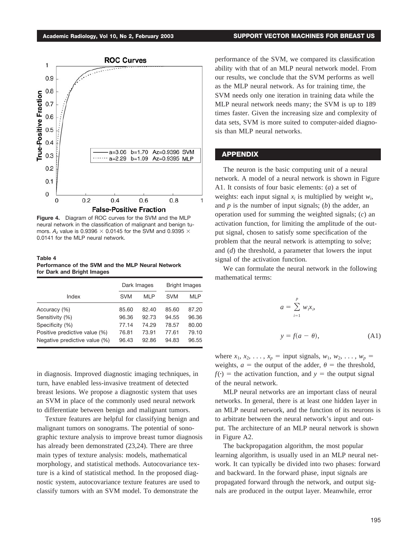

**Figure 4.** Diagram of ROC curves for the SVM and the MLP neural network in the classification of malignant and benign tumors.  $A_z$  value is 0.9396  $\times$  0.0145 for the SVM and 0.9395  $\times$ 0.0141 for the MLP neural network.

**Table 4 Performance of the SVM and the MLP Neural Network for Dark and Bright Images**

|                               |            | Dark Images |            | <b>Bright Images</b> |  |
|-------------------------------|------------|-------------|------------|----------------------|--|
| Index                         | <b>SVM</b> | MLP         | <b>SVM</b> | MLP                  |  |
| Accuracy (%)                  | 85.60      | 82.40       | 85.60      | 87.20                |  |
| Sensitivity (%)               | 96.36      | 92.73       | 94.55      | 96.36                |  |
| Specificity (%)               | 77.14      | 74.29       | 78.57      | 80.00                |  |
| Positive predictive value (%) | 76.81      | 73.91       | 77.61      | 79.10                |  |
| Negative predictive value (%) | 96.43      | 92.86       | 94.83      | 96.55                |  |

in diagnosis. Improved diagnostic imaging techniques, in turn, have enabled less-invasive treatment of detected breast lesions. We propose a diagnostic system that uses an SVM in place of the commonly used neural network to differentiate between benign and malignant tumors.

Texture features are helpful for classifying benign and malignant tumors on sonograms. The potential of sonographic texture analysis to improve breast tumor diagnosis has already been demonstrated (23,24). There are three main types of texture analysis: models, mathematical morphology, and statistical methods. Autocovariance texture is a kind of statistical method. In the proposed diagnostic system, autocovariance texture features are used to classify tumors with an SVM model. To demonstrate the

performance of the SVM, we compared its classification ability with that of an MLP neural network model. From our results, we conclude that the SVM performs as well as the MLP neural network. As for training time, the SVM needs only one iteration in training data while the MLP neural network needs many; the SVM is up to 189 times faster. Given the increasing size and complexity of data sets, SVM is more suited to computer-aided diagnosis than MLP neural networks.

#### **APPENDIX**

The neuron is the basic computing unit of a neural network. A model of a neural network is shown in Figure A1. It consists of four basic elements: (*a*) a set of weights: each input signal  $x_i$  is multiplied by weight  $w_i$ , and *p* is the number of input signals; (*b*) the adder, an operation used for summing the weighted signals; (*c*) an activation function, for limiting the amplitude of the output signal, chosen to satisfy some specification of the problem that the neural network is attempting to solve; and (*d*) the threshold, a parameter that lowers the input signal of the activation function.

We can formulate the neural network in the following mathematical terms:

$$
a = \sum_{i=1}^{p} w_i x_i,
$$
  

$$
y = f(a - \theta),
$$
 (A1)

where  $x_1, x_2, \ldots, x_p =$  input signals,  $w_1, w_2, \ldots, w_p =$ weights,  $a =$  the output of the adder,  $\theta =$  the threshold,  $f(\cdot)$  = the activation function, and *y* = the output signal of the neural network.

MLP neural networks are an important class of neural networks. In general, there is at least one hidden layer in an MLP neural network, and the function of its neurons is to arbitrate between the neural network's input and output. The architecture of an MLP neural network is shown in Figure A2.

The backpropagation algorithm, the most popular learning algorithm, is usually used in an MLP neural network. It can typically be divided into two phases: forward and backward. In the forward phase, input signals are propagated forward through the network, and output signals are produced in the output layer. Meanwhile, error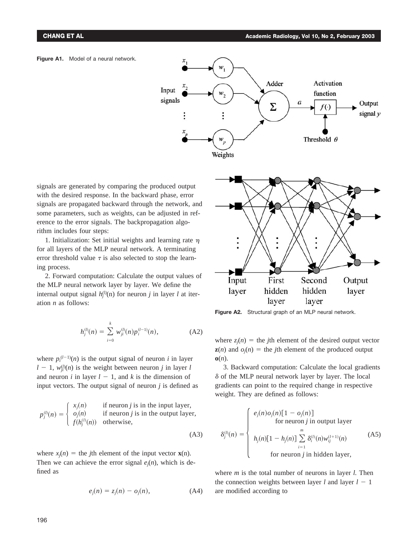



signals are generated by comparing the produced output with the desired response. In the backward phase, error signals are propagated backward through the network, and some parameters, such as weights, can be adjusted in reference to the error signals. The backpropagation algorithm includes four steps:

1. Initialization: Set initial weights and learning rate  $\eta$ for all layers of the MLP neural network. A terminating error threshold value  $\tau$  is also selected to stop the learning process.

2. Forward computation: Calculate the output values of the MLP neural network layer by layer. We define the internal output signal  $h_j^{(l)}(n)$  for neuron *j* in layer *l* at iteration *n* as follows:

$$
h_j^{(l)}(n) = \sum_{i=0}^k w_{ji}^{(l)}(n) p_i^{(l-1)}(n), \qquad (A2)
$$

where  $p_i^{(l-1)}(n)$  is the output signal of neuron *i* in layer  $l - 1$ ,  $w_{ji}^{(l)}(n)$  is the weight between neuron *j* in layer *l* and neuron *i* in layer  $l - 1$ , and *k* is the dimension of input vectors. The output signal of neuron *j* is defined as

$$
p_j^{(l)}(n) = \begin{cases} x_j(n) & \text{if neuron } j \text{ is in the input layer,} \\ o_j(n) & \text{if neuron } j \text{ is in the output layer,} \\ f(h_j^{(l)}(n)) & \text{otherwise,} \end{cases}
$$

where  $x_j(n) =$  the *j*th element of the input vector **x**(n). Then we can achieve the error signal  $e_i(n)$ , which is defined as

$$
e_j(n) = z_j(n) - o_j(n),
$$
 (A4)

(A3)



**Figure A2.** Structural graph of an MLP neural network.

where  $z_j(n)$  = the *j*th element of the desired output vector  $z(n)$  and  $o_j(n)$  = the *j*th element of the produced output **o**(*n*).

3. Backward computation: Calculate the local gradients  $\delta$  of the MLP neural network layer by layer. The local gradients can point to the required change in respective weight. They are defined as follows:

$$
\delta_j^{(l)}(n) = \begin{cases}\ne_j(n) o_j(n) [1 - o_j(n)] & \text{for neuron } j \text{ in output layer} \\
h_j(n) [1 - h_j(n)] \sum_{i=1}^m \delta_i^{(l)}(n) w_{ij}^{(l+1)}(n) & \text{(A5)} \\
\text{for neuron } j \text{ in hidden layer,} & \text{for neuron } j \text{ in hidden layer,}\n\end{cases}
$$

where *m* is the total number of neurons in layer *l.* Then the connection weights between layer  $l$  and layer  $l - 1$ are modified according to